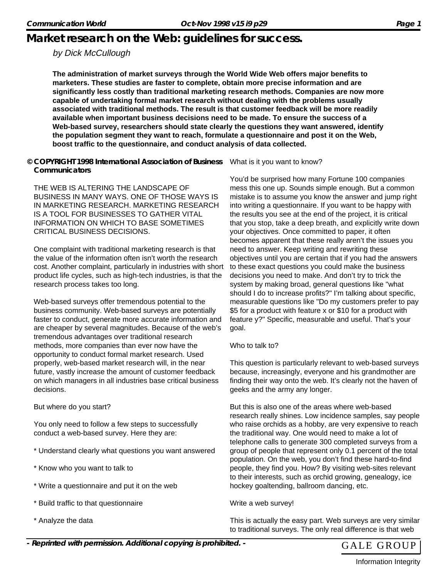## **Market research on the Web: guidelines for success.**

### by Dick McCullough

**The administration of market surveys through the World Wide Web offers major benefits to marketers. These studies are faster to complete, obtain more precise information and are significantly less costly than traditional marketing research methods. Companies are now more capable of undertaking formal market research without dealing with the problems usually associated with traditional methods. The result is that customer feedback will be more readily available when important business decisions need to be made. To ensure the success of a Web-based survey, researchers should state clearly the questions they want answered, identify the population segment they want to reach, formulate a questionnaire and post it on the Web, boost traffic to the questionnaire, and conduct analysis of data collected.**

**© COPYRIGHT 1998 International Association of Business Communicators**

THE WEB IS ALTERING THE LANDSCAPE OF BUSINESS IN MANY WAYS. ONE OF THOSE WAYS IS IN MARKETING RESEARCH. MARKETING RESEARCH IS A TOOL FOR BUSINESSES TO GATHER VITAL INFORMATION ON WHICH TO BASE SOMETIMES CRITICAL BUSINESS DECISIONS.

One complaint with traditional marketing research is that the value of the information often isn't worth the research cost. Another complaint, particularly in industries with short product life cycles, such as high-tech industries, is that the research process takes too long.

Web-based surveys offer tremendous potential to the business community. Web-based surveys are potentially faster to conduct, generate more accurate information and are cheaper by several magnitudes. Because of the web's tremendous advantages over traditional research methods, more companies than ever now have the opportunity to conduct formal market research. Used properly, web-based market research will, in the near future, vastly increase the amount of customer feedback on which managers in all industries base critical business decisions.

But where do you start?

You only need to follow a few steps to successfully conduct a web-based survey. Here they are:

- \* Understand clearly what questions you want answered
- \* Know who you want to talk to
- \* Write a questionnaire and put it on the web
- \* Build traffic to that questionnaire
- \* Analyze the data

What is it you want to know?

You'd be surprised how many Fortune 100 companies mess this one up. Sounds simple enough. But a common mistake is to assume you know the answer and jump right into writing a questionnaire. If you want to be happy with the results you see at the end of the project, it is critical that you stop, take a deep breath, and explicitly write down your objectives. Once committed to paper, it often becomes apparent that these really aren't the issues you need to answer. Keep writing and rewriting these objectives until you are certain that if you had the answers to these exact questions you could make the business decisions you need to make. And don't try to trick the system by making broad, general questions like "what should I do to increase profits?" I'm talking about specific, measurable questions like "Do my customers prefer to pay \$5 for a product with feature x or \$10 for a product with feature y?" Specific, measurable and useful. That's your goal.

Who to talk to?

This question is particularly relevant to web-based surveys because, increasingly, everyone and his grandmother are finding their way onto the web. It's clearly not the haven of geeks and the army any longer.

But this is also one of the areas where web-based research really shines. Low incidence samples, say people who raise orchids as a hobby, are very expensive to reach the traditional way. One would need to make a lot of telephone calls to generate 300 completed surveys from a group of people that represent only 0.1 percent of the total population. On the web, you don't find these hard-to-find people, they find you. How? By visiting web-sites relevant to their interests, such as orchid growing, genealogy, ice hockey goaltending, ballroom dancing, etc.

Write a web survey!

This is actually the easy part. Web surveys are very similar to traditional surveys. The only real difference is that web



Information Integrity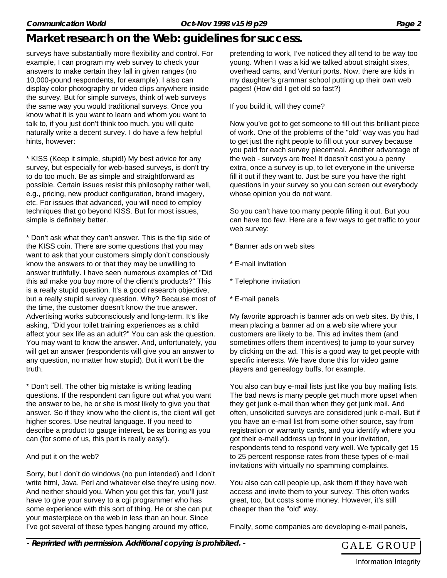# **Market research on the Web: guidelines for success.**

surveys have substantially more flexibility and control. For example, I can program my web survey to check your answers to make certain they fall in given ranges (no 10,000-pound respondents, for example). I also can display color photography or video clips anywhere inside the survey. But for simple surveys, think of web surveys the same way you would traditional surveys. Once you know what it is you want to learn and whom you want to talk to, if you just don't think too much, you will quite naturally write a decent survey. I do have a few helpful hints, however:

\* KISS (Keep it simple, stupid!) My best advice for any survey, but especially for web-based surveys, is don't try to do too much. Be as simple and straightforward as possible. Certain issues resist this philosophy rather well, e.g., pricing, new product configuration, brand imagery, etc. For issues that advanced, you will need to employ techniques that go beyond KISS. But for most issues, simple is definitely better.

\* Don't ask what they can't answer. This is the flip side of the KISS coin. There are some questions that you may want to ask that your customers simply don't consciously know the answers to or that they may be unwilling to answer truthfully. I have seen numerous examples of "Did this ad make you buy more of the client's products?" This is a really stupid question. It's a good research objective, but a really stupid survey question. Why? Because most of the time, the customer doesn't know the true answer. Advertising works subconsciously and long-term. It's like asking, "Did your toilet training experiences as a child affect your sex life as an adult?" You can ask the question. You may want to know the answer. And, unfortunately, you will get an answer (respondents will give you an answer to any question, no matter how stupid). But it won't be the truth.

\* Don't sell. The other big mistake is writing leading questions. If the respondent can figure out what you want the answer to be, he or she is most likely to give you that answer. So if they know who the client is, the client will get higher scores. Use neutral language. If you need to describe a product to gauge interest, be as boring as you can (for some of us, this part is really easy!).

#### And put it on the web?

Sorry, but I don't do windows (no pun intended) and l don't write html, Java, Perl and whatever else they're using now. And neither should you. When you get this far, you'll just have to give your survey to a cgi programmer who has some experience with this sort of thing. He or she can put your masterpiece on the web in less than an hour. Since I've got several of these types hanging around my office,

pretending to work, I've noticed they all tend to be way too young. When I was a kid we talked about straight sixes, overhead cams, and Venturi ports. Now, there are kids in my daughter's grammar school putting up their own web pages! (How did I get old so fast?)

If you build it, will they come?

Now you've got to get someone to fill out this brilliant piece of work. One of the problems of the "old" way was you had to get just the right people to fill out your survey because you paid for each survey piecemeal. Another advantage of the web - surveys are free! It doesn't cost you a penny extra, once a survey is up, to let everyone in the universe fill it out if they want to. Just be sure you have the right questions in your survey so you can screen out everybody whose opinion you do not want.

So you can't have too many people filling it out. But you can have too few. Here are a few ways to get traffic to your web survey:

- \* Banner ads on web sites
- \* E-mail invitation
- \* Telephone invitation
- \* E-mail panels

My favorite approach is banner ads on web sites. By this, I mean placing a banner ad on a web site where your customers are likely to be. This ad invites them (and sometimes offers them incentives) to jump to your survey by clicking on the ad. This is a good way to get people with specific interests. We have done this for video game players and genealogy buffs, for example.

You also can buy e-mail lists just like you buy mailing lists. The bad news is many people get much more upset when they get junk e-mail than when they get junk mail. And often, unsolicited surveys are considered junk e-mail. But if you have an e-mail list from some other source, say from registration or warranty cards, and you identify where you got their e-mail address up front in your invitation, respondents tend to respond very well. We typically get 15 to 25 percent response rates from these types of e-mail invitations with virtually no spamming complaints.

You also can call people up, ask them if they have web access and invite them to your survey. This often works great, too, but costs some money. However, it's still cheaper than the "old" way.

Finally, some companies are developing e-mail panels,



Information Integrity